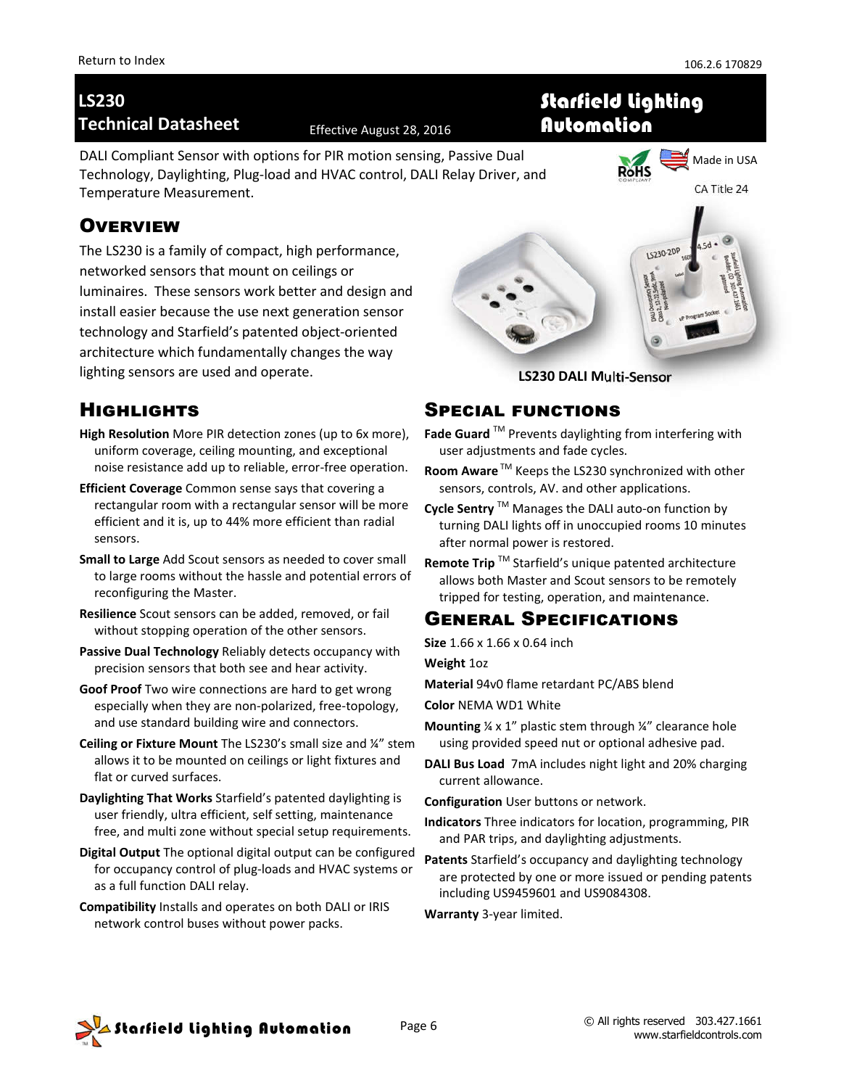# **LS230 Technical Datasheet** Effective August 28, 2016

DALI Compliant Sensor with options for PIR motion sensing, Passive Dual Technology, Daylighting, Plug-load and HVAC control, DALI Relay Driver, and Temperature Measurement.

#### Made in USA RoHS CA Title 24

# **OVERVIEW**

The LS230 is a family of compact, high performance, networked sensors that mount on ceilings or luminaires. These sensors work better and design and install easier because the use next generation sensor technology and Starfield's patented object-oriented architecture which fundamentally changes the way lighting sensors are used and operate.



Starfield Lighting

Automation

**LS230 DALI Multi-Sensor**

## **HIGHLIGHTS**

- **High Resolution** More PIR detection zones (up to 6x more), uniform coverage, ceiling mounting, and exceptional noise resistance add up to reliable, error-free operation.
- **Efficient Coverage** Common sense says that covering a rectangular room with a rectangular sensor will be more efficient and it is, up to 44% more efficient than radial sensors.
- **Small to Large** Add Scout sensors as needed to cover small to large rooms without the hassle and potential errors of reconfiguring the Master.
- **Resilience** Scout sensors can be added, removed, or fail without stopping operation of the other sensors.
- **Passive Dual Technology** Reliably detects occupancy with precision sensors that both see and hear activity.
- **Goof Proof** Two wire connections are hard to get wrong especially when they are non-polarized, free-topology, and use standard building wire and connectors.
- **Ceiling or Fixture Mount** The LS230's small size and ¼" stem allows it to be mounted on ceilings or light fixtures and flat or curved surfaces.
- **Daylighting That Works** Starfield's patented daylighting is user friendly, ultra efficient, self setting, maintenance free, and multi zone without special setup requirements.
- **Digital Output** The optional digital output can be configured for occupancy control of plug-loads and HVAC systems or as a full function DALI relay.
- **Compatibility** Installs and operates on both DALI or IRIS network control buses without power packs.

### **SPECIAL FUNCTIONS**

- **Fade Guard** TM Prevents daylighting from interfering with user adjustments and fade cycles.
- **Room Aware** ™ Keeps the LS230 synchronized with other sensors, controls, AV. and other applications.
- **Cycle Sentry** TM Manages the DALI auto-on function by turning DALI lights off in unoccupied rooms 10 minutes after normal power is restored.
- **Remote Trip** TM Starfield's unique patented architecture allows both Master and Scout sensors to be remotely tripped for testing, operation, and maintenance.

## **GENERAL SPECIFICATIONS**

**Size** 1.66 x 1.66 x 0.64 inch

**Weight** 1oz

**Material** 94v0 flame retardant PC/ABS blend

**Color** NEMA WD1 White

- **Mounting** ¼ x 1" plastic stem through ¼" clearance hole using provided speed nut or optional adhesive pad.
- **DALI Bus Load** 7mA includes night light and 20% charging current allowance.

**Configuration** User buttons or network.

- **Indicators** Three indicators for location, programming, PIR and PAR trips, and daylighting adjustments.
- **Patents** Starfield's occupancy and daylighting technology are protected by one or more issued or pending patents including US9459601 and US9084308.

**Warranty** 3-year limited.

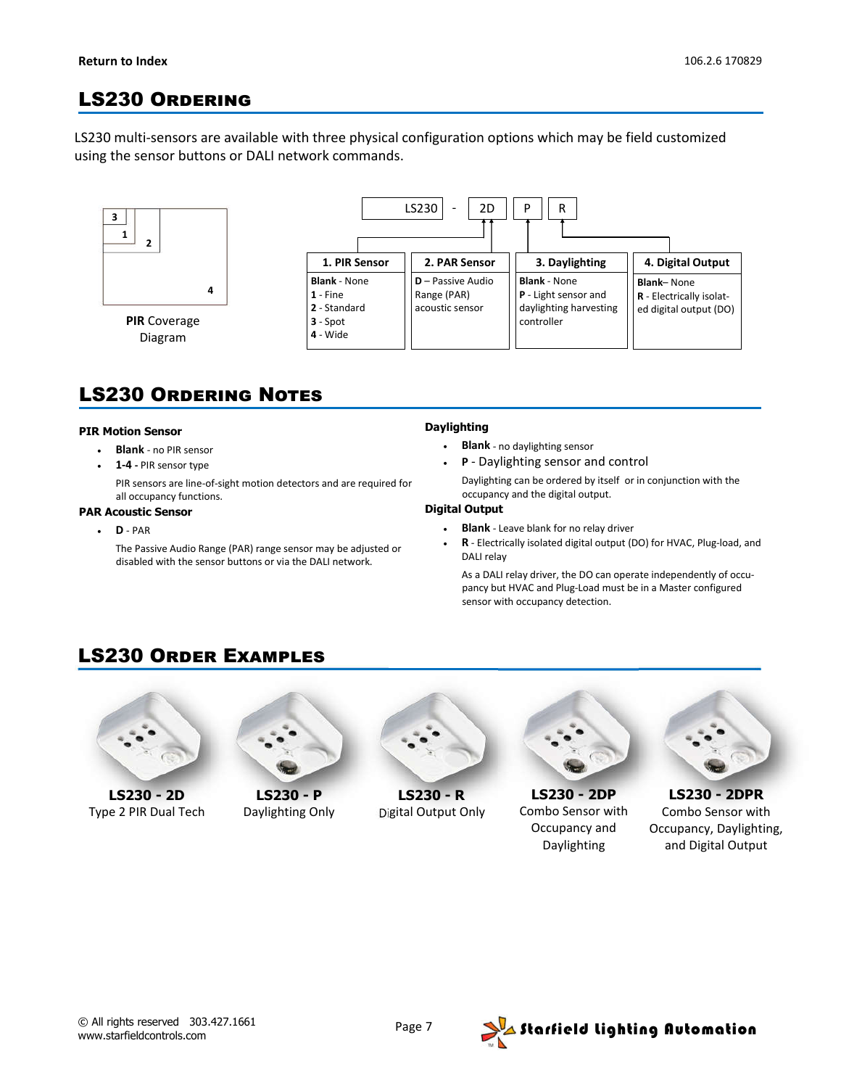## **LS230 ORDERING**

LS230 multi-sensors are available with three physical configuration options which may be field customized using the sensor buttons or DALI network commands.



**PIR** Coverage Diagram



# **LS230 ORDERING NOTES**

#### **PIR Motion Sensor**

- **Blank** no PIR sensor
- **1-4 -** PIR sensor type

PIR sensors are line-of-sight motion detectors and are required for all occupancy functions.

#### **PAR Acoustic Sensor**

**D** - PAR

The Passive Audio Range (PAR) range sensor may be adjusted or disabled with the sensor buttons or via the DALI network.

#### **Daylighting**

- **Blank** no daylighting sensor
- **P** Daylighting sensor and control

Daylighting can be ordered by itself or in conjunction with the occupancy and the digital output.

#### **Digital Output**

- **Blank** Leave blank for no relay driver
- **R** Electrically isolated digital output (DO) for HVAC, Plug-load, and DALI relay

As a DALI relay driver, the DO can operate independently of occupancy but HVAC and Plug-Load must be in a Master configured sensor with occupancy detection.

### **LS230 ORDER EXAMPLES**



**LS230 - 2D** Type 2 PIR Dual Tech



**LS230 - P** Daylighting Only



**LS230 - R** Digital Output Only



**LS230 - 2DP** Combo Sensor with Occupancy and Daylighting



**LS230 - 2DPR** Combo Sensor with Occupancy, Daylighting, and Digital Output

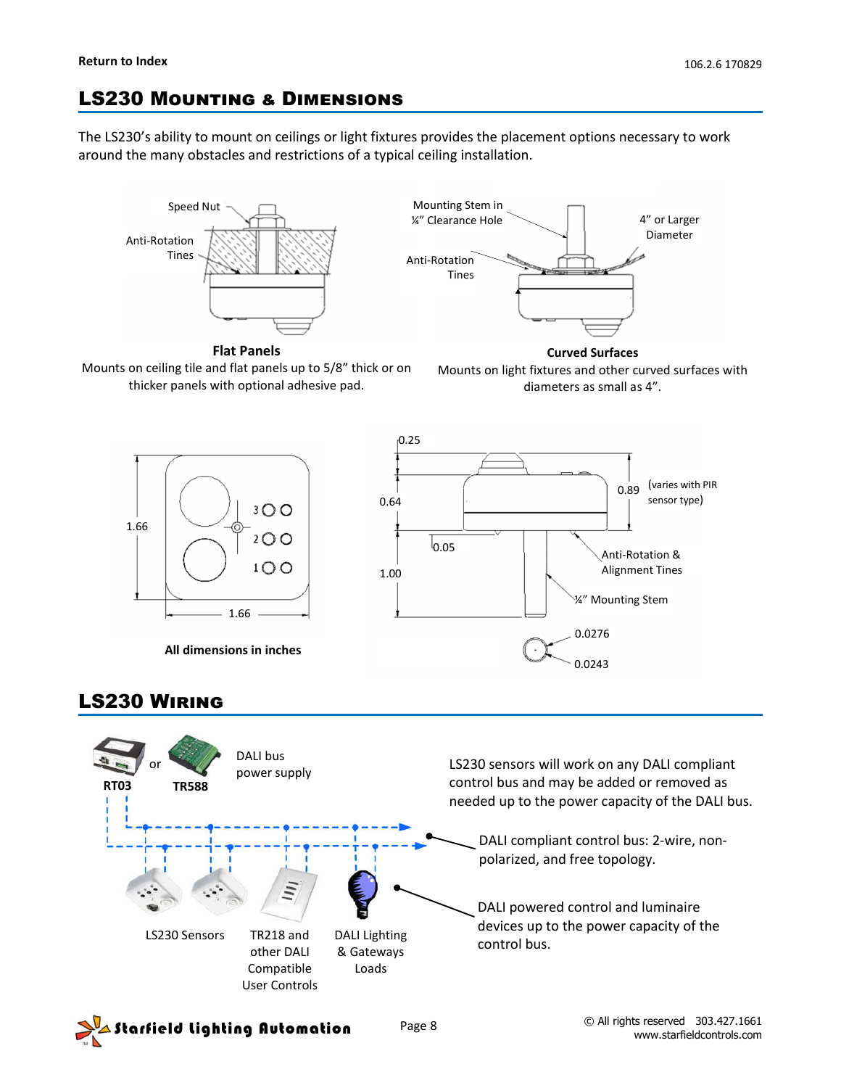## **LS230 MOUNTING & DIMENSIONS**

The LS230's ability to mount on ceilings or light fixtures provides the placement options necessary to work around the many obstacles and restrictions of a typical ceiling installation.





**Flat Panels**



**Curved Surfaces** Mounts on light fixtures and other curved surfaces with diameters as small as 4".



## **LS230 WIRING**



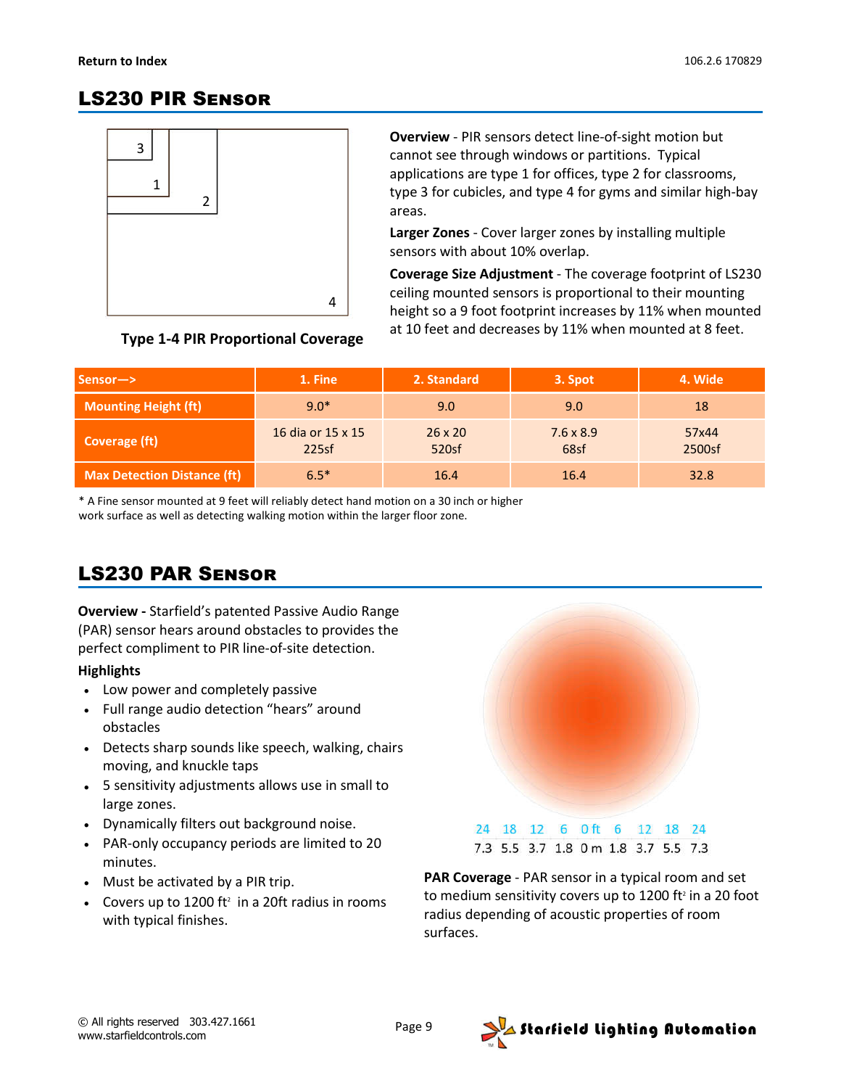## **LS230 PIR SENSOR**



**Overview** - PIR sensors detect line-of-sight motion but cannot see through windows or partitions. Typical applications are type 1 for offices, type 2 for classrooms, type 3 for cubicles, and type 4 for gyms and similar high-bay areas.

**Larger Zones** - Cover larger zones by installing multiple sensors with about 10% overlap.

**Coverage Size Adjustment** - The coverage footprint of LS230 ceiling mounted sensors is proportional to their mounting height so a 9 foot footprint increases by 11% when mounted at 10 feet and decreases by 11% when mounted at 8 feet.

### **Type 1-4 PIR Proportional Coverage**

| $Sensor \rightarrow$               | 1. Fine                    | 2. Standard             | 3. Spot                  | 4. Wide         |
|------------------------------------|----------------------------|-------------------------|--------------------------|-----------------|
| <b>Mounting Height (ft)</b>        | $9.0*$                     | $9.0^{\circ}$           | 9.0                      | 18              |
| Coverage (ft)                      | 16 dia or 15 x 15<br>225sf | $26 \times 20$<br>520sf | $7.6 \times 8.9$<br>68sf | 57x44<br>2500sf |
| <b>Max Detection Distance (ft)</b> | $6.5*$                     | 16.4                    | 16.4                     | 32.8            |

\* A Fine sensor mounted at 9 feet will reliably detect hand motion on a 30 inch or higher work surface as well as detecting walking motion within the larger floor zone.

## LS230 PAR S

**Overview -** Starfield's patented Passive Audio Range (PAR) sensor hears around obstacles to provides the perfect compliment to PIR line-of-site detection.

#### **Highlights**

- Low power and completely passive
- Full range audio detection "hears" around obstacles
- Detects sharp sounds like speech, walking, chairs moving, and knuckle taps
- 5 sensitivity adjustments allows use in small to large zones.
- Dynamically filters out background noise.
- PAR-only occupancy periods are limited to 20 minutes.
- Must be activated by a PIR trip.
- Covers up to 1200 ft<sup>2</sup> in a 20ft radius in rooms with typical finishes.



**PAR Coverage** - PAR sensor in a typical room and set to medium sensitivity covers up to 1200 ft<sup>2</sup> in a 20 foot radius depending of acoustic properties of room surfaces.

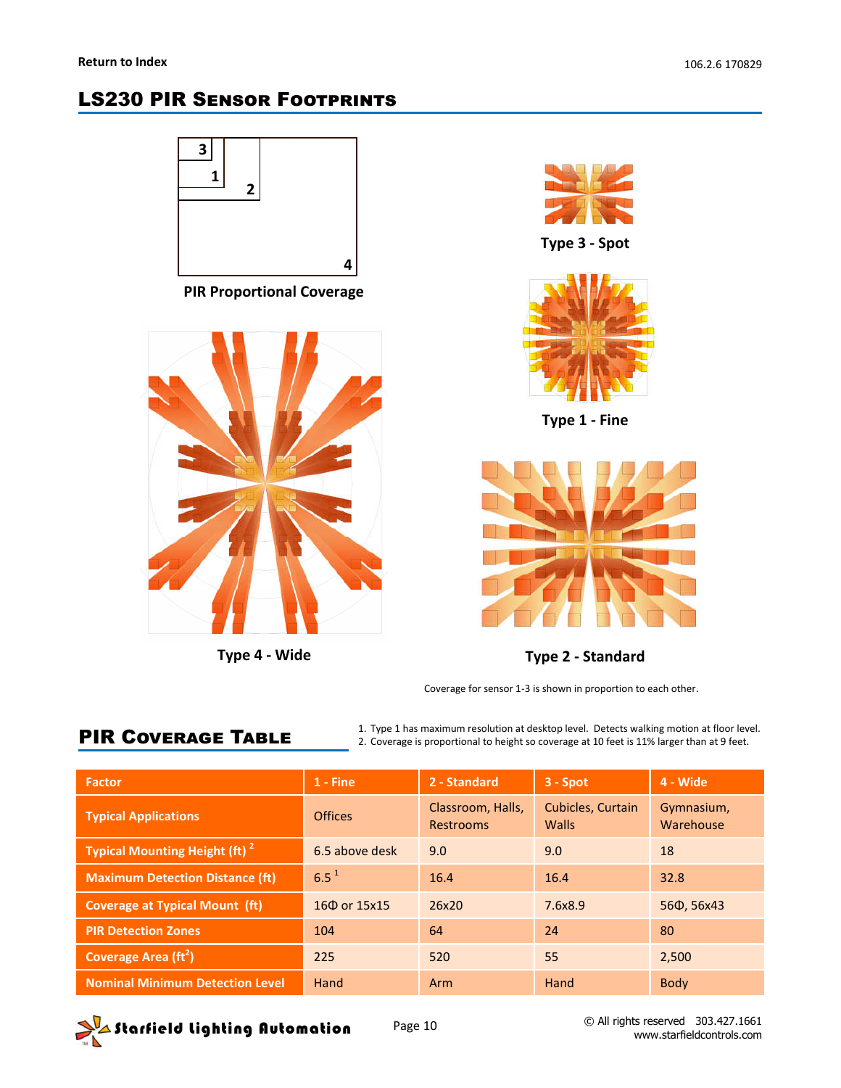## **LS230 PIR SENSOR FOOTPRINTS**





**Type 3 - Spot**



**Type 1 - Fine**



**Type 4 - Wide Type 2 - Standard**

Coverage for sensor 1-3 is shown in proportion to each other.

# **PIR COVERAGE TABLE**

1. Type 1 has maximum resolution at desktop level. Detects walking motion at floor level. 2. Coverage is proportional to height so coverage at 10 feet is 11% larger than at 9 feet.

| <b>Factor</b>                             | $1 -$ Fine     | 2 - Standard                   | $3 -$ Spot                        | 4 - Wide                |
|-------------------------------------------|----------------|--------------------------------|-----------------------------------|-------------------------|
| <b>Typical Applications</b>               | <b>Offices</b> | Classroom, Halls,<br>Restrooms | <b>Cubicles, Curtain</b><br>Walls | Gymnasium,<br>Warehouse |
| Typical Mounting Height (ft) <sup>2</sup> | 6.5 above desk | 9.0                            | 9.0                               | 18                      |
| <b>Maximum Detection Distance (ft)</b>    | $6.5^{1}$      | 16.4                           | 16.4                              | 32.8                    |
| <b>Coverage at Typical Mount (ft)</b>     | 160 or 15x15   | 26x20                          | 7.6x8.9                           | 560, 56x43              |
| <b>PIR Detection Zones</b>                | 104            | 64                             | 24                                | 80                      |
| Coverage Area $(\text{ft}^2)$             | 225            | 520                            | 55                                | 2,500                   |
| <b>Nominal Minimum Detection Level</b>    | Hand           | Arm                            | Hand                              | <b>Body</b>             |

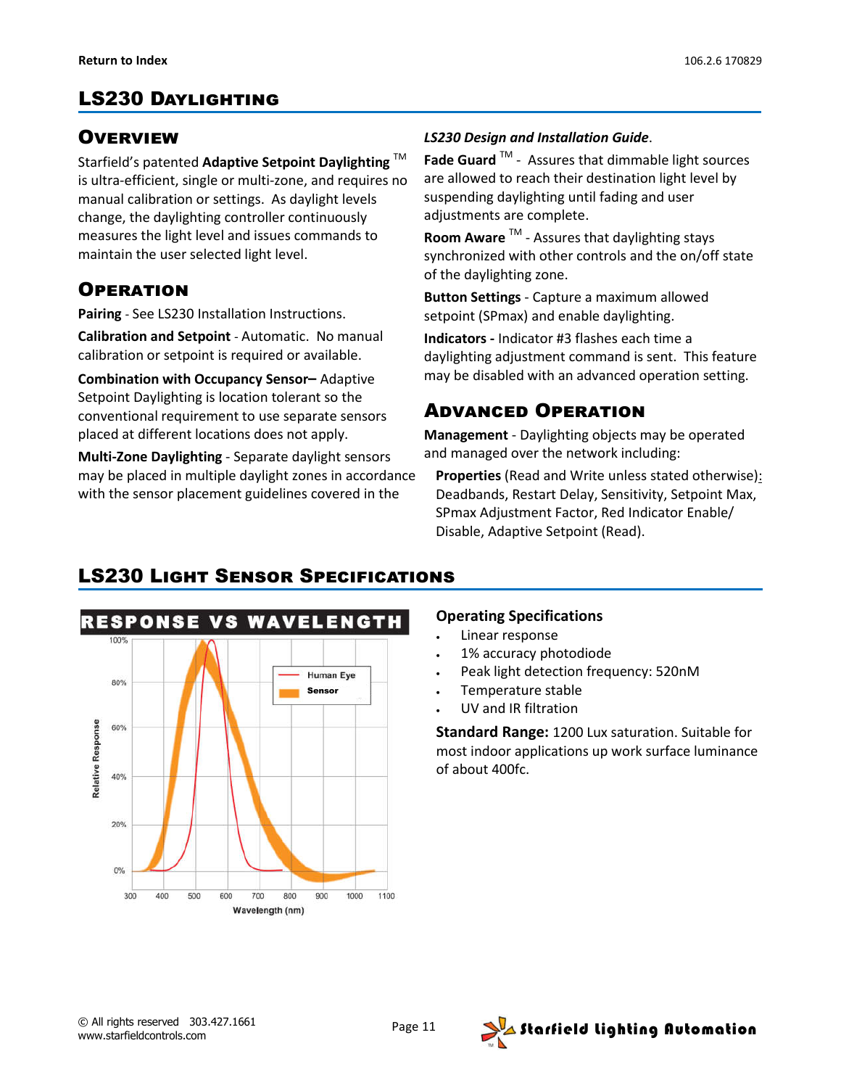### **OVERVIEW**

Starfield's patented **Adaptive Setpoint Daylighting** TM is ultra-efficient, single or multi-zone, and requires no manual calibration or settings. As daylight levels change, the daylighting controller continuously measures the light level and issues commands to maintain the user selected light level.

## **OPERATION**

**Pairing** - See LS230 Installation Instructions.

**Calibration and Setpoint** - Automatic. No manual calibration or setpoint is required or available.

**Combination with Occupancy Sensor–** Adaptive Setpoint Daylighting is location tolerant so the conventional requirement to use separate sensors placed at different locations does not apply.

**Multi-Zone Daylighting** - Separate daylight sensors may be placed in multiple daylight zones in accordance with the sensor placement guidelines covered in the

#### *LS230 Design and Installation Guide*.

**Fade Guard** TM - Assures that dimmable light sources are allowed to reach their destination light level by suspending daylighting until fading and user adjustments are complete.

**Room Aware** TM - Assures that daylighting stays synchronized with other controls and the on/off state of the daylighting zone.

**Button Settings** - Capture a maximum allowed setpoint (SPmax) and enable daylighting.

**Indicators -** Indicator #3 flashes each time a daylighting adjustment command is sent. This feature may be disabled with an advanced operation setting.

### **ADVANCED OPERATION**

**Management** - Daylighting objects may be operated and managed over the network including:

**Properties** (Read and Write unless stated otherwise): Deadbands, Restart Delay, Sensitivity, Setpoint Max, SPmax Adjustment Factor, Red Indicator Enable/ Disable, Adaptive Setpoint (Read).



# **LS230 LIGHT SENSOR SPECIFICATIONS**

#### **Operating Specifications**

- Linear response
- 1% accuracy photodiode
- Peak light detection frequency: 520nM
- Temperature stable
- UV and IR filtration

**Standard Range:** 1200 Lux saturation. Suitable for most indoor applications up work surface luminance of about 400fc.

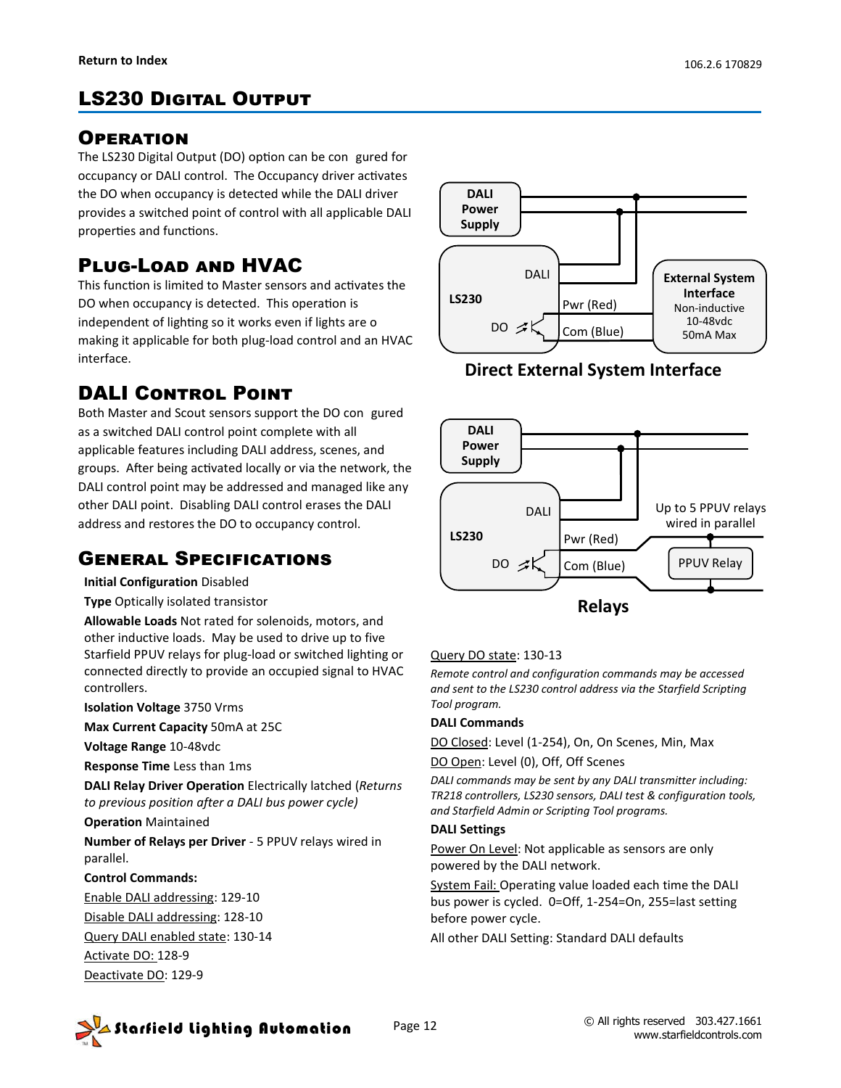# **LS230 DIGITAL OUTPUT**

### **OPERATION**

The LS230 Digital Output (DO) option can be con gured for occupancy or DALI control. The Occupancy driver activates the DO when occupancy is detected while the DALI driver provides a switched point of control with all applicable DALI properties and functions.

# PLUG-LOAD AND HVAC

This function is limited to Master sensors and activates the DO when occupancy is detected. This operation is independent of lighting so it works even if lights are o making it applicable for both plug-load control and an HVAC interface.

## **DALI CONTROL POINT**

Both Master and Scout sensors support the DO con gured as a switched DALI control point complete with all applicable features including DALI address, scenes, and groups. After being activated locally or via the network, the DALI control point may be addressed and managed like any other DALI point. Disabling DALI control erases the DALI address and restores the DO to occupancy control.

### **GENERAL SPECIFICATIONS**

**Initial Configuration** Disabled

**Type** Optically isolated transistor

**Allowable Loads** Not rated for solenoids, motors, and other inductive loads. May be used to drive up to five Starfield PPUV relays for plug-load or switched lighting or connected directly to provide an occupied signal to HVAC controllers.

**Isolation Voltage** 3750 Vrms

**Max Current Capacity** 50mA at 25C

**Voltage Range** 10-48vdc

**Response Time** Less than 1ms

**DALI Relay Driver Operation** Electrically latched (*Returns to previous position after a DALI bus power cycle)*

**Operation** Maintained

**Number of Relays per Driver** - 5 PPUV relays wired in parallel.

#### **Control Commands:**

Enable DALI addressing: 129-10 Disable DALI addressing: 128-10 Query DALI enabled state: 130-14 Activate DO: 128-9

Deactivate DO: 129-9



**Direct External System Interface**



#### Query DO state: 130-13

*Remote control and configuration commands may be accessed and sent to the LS230 control address via the Starfield Scripting Tool program.*

#### **DALI Commands**

DO Closed: Level (1-254), On, On Scenes, Min, Max

DO Open: Level (0), Off, Off Scenes

*DALI commands may be sent by any DALI transmitter including: TR218 controllers, LS230 sensors, DALI test & configuration tools, and Starfield Admin or Scripting Tool programs.*

#### **DALI Settings**

Power On Level: Not applicable as sensors are only powered by the DALI network.

System Fail: Operating value loaded each time the DALI bus power is cycled. 0=Off, 1-254=On, 255=last setting before power cycle.

All other DALI Setting: Standard DALI defaults